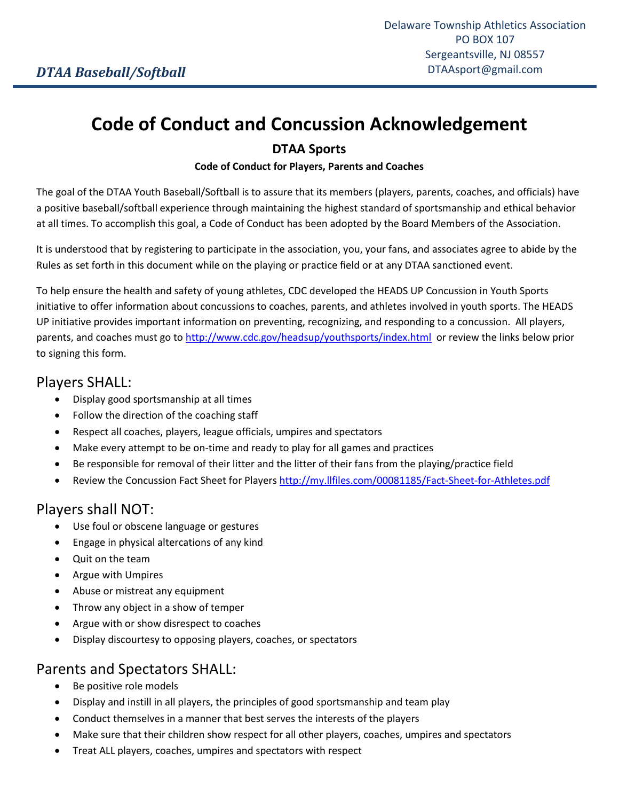# **Code of Conduct and Concussion Acknowledgement**

#### **DTAA Sports**

#### **Code of Conduct for Players, Parents and Coaches**

The goal of the DTAA Youth Baseball/Softball is to assure that its members (players, parents, coaches, and officials) have a positive baseball/softball experience through maintaining the highest standard of sportsmanship and ethical behavior at all times. To accomplish this goal, a Code of Conduct has been adopted by the Board Members of the Association.

It is understood that by registering to participate in the association, you, your fans, and associates agree to abide by the Rules as set forth in this document while on the playing or practice field or at any DTAA sanctioned event.

To help ensure the health and safety of young athletes, CDC developed the HEADS UP Concussion in Youth Sports initiative to offer information about concussions to coaches, parents, and athletes involved in youth sports. The HEADS UP initiative provides important information on preventing, recognizing, and responding to a concussion. All players, parents, and coaches must go t[o http://www.cdc.gov/headsup/youthsports/index.html](http://www.cdc.gov/headsup/youthsports/index.html) or review the links below prior to signing this form.

#### Players SHALL:

- Display good sportsmanship at all times
- Follow the direction of the coaching staff
- Respect all coaches, players, league officials, umpires and spectators
- Make every attempt to be on-time and ready to play for all games and practices
- Be responsible for removal of their litter and the litter of their fans from the playing/practice field
- Review the Concussion Fact Sheet for Player[s http://my.llfiles.com/00081185/Fact-Sheet-for-Athletes.pdf](http://my.llfiles.com/00081185/Fact-Sheet-for-Athletes.pdf)

# Players shall NOT:

- Use foul or obscene language or gestures
- Engage in physical altercations of any kind
- Ouit on the team
- Argue with Umpires
- Abuse or mistreat any equipment
- Throw any object in a show of temper
- Argue with or show disrespect to coaches
- Display discourtesy to opposing players, coaches, or spectators

#### Parents and Spectators SHALL:

- Be positive role models
- Display and instill in all players, the principles of good sportsmanship and team play
- Conduct themselves in a manner that best serves the interests of the players
- Make sure that their children show respect for all other players, coaches, umpires and spectators
- Treat ALL players, coaches, umpires and spectators with respect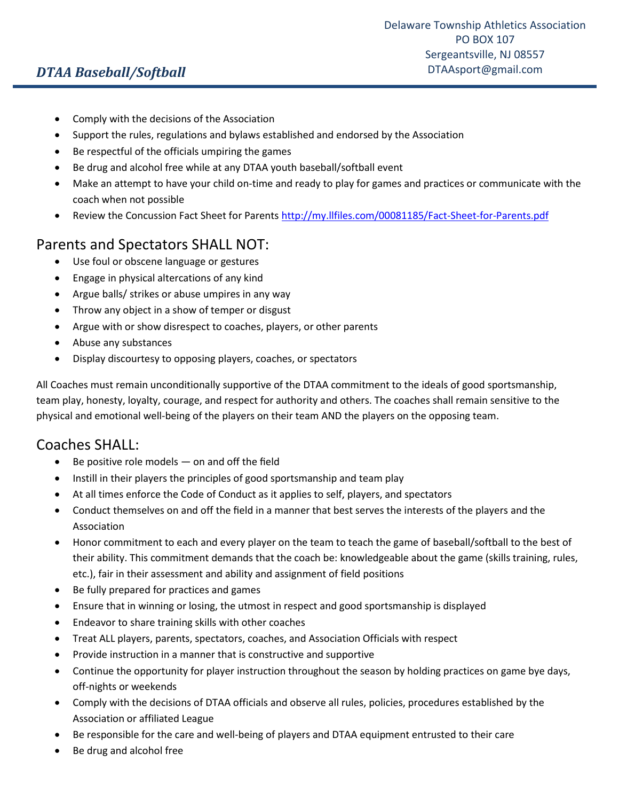# *DTAA Baseball/Softball*

- Comply with the decisions of the Association
- Support the rules, regulations and bylaws established and endorsed by the Association
- Be respectful of the officials umpiring the games
- Be drug and alcohol free while at any DTAA youth baseball/softball event
- Make an attempt to have your child on-time and ready to play for games and practices or communicate with the coach when not possible
- Review the Concussion Fact Sheet for Parents<http://my.llfiles.com/00081185/Fact-Sheet-for-Parents.pdf>

## Parents and Spectators SHALL NOT:

- Use foul or obscene language or gestures
- Engage in physical altercations of any kind
- Argue balls/ strikes or abuse umpires in any way
- Throw any object in a show of temper or disgust
- Argue with or show disrespect to coaches, players, or other parents
- Abuse any substances
- Display discourtesy to opposing players, coaches, or spectators

All Coaches must remain unconditionally supportive of the DTAA commitment to the ideals of good sportsmanship, team play, honesty, loyalty, courage, and respect for authority and others. The coaches shall remain sensitive to the physical and emotional well-being of the players on their team AND the players on the opposing team.

## Coaches SHALL:

- Be positive role models on and off the field
- Instill in their players the principles of good sportsmanship and team play
- At all times enforce the Code of Conduct as it applies to self, players, and spectators
- Conduct themselves on and off the field in a manner that best serves the interests of the players and the Association
- Honor commitment to each and every player on the team to teach the game of baseball/softball to the best of their ability. This commitment demands that the coach be: knowledgeable about the game (skills training, rules, etc.), fair in their assessment and ability and assignment of field positions
- Be fully prepared for practices and games
- Ensure that in winning or losing, the utmost in respect and good sportsmanship is displayed
- Endeavor to share training skills with other coaches
- Treat ALL players, parents, spectators, coaches, and Association Officials with respect
- Provide instruction in a manner that is constructive and supportive
- Continue the opportunity for player instruction throughout the season by holding practices on game bye days, off-nights or weekends
- Comply with the decisions of DTAA officials and observe all rules, policies, procedures established by the Association or affiliated League
- Be responsible for the care and well-being of players and DTAA equipment entrusted to their care
- Be drug and alcohol free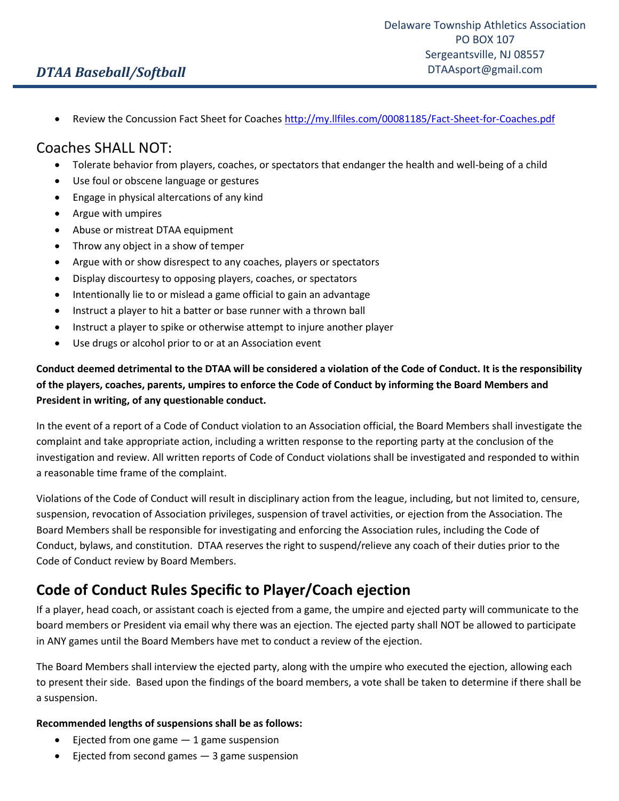## *DTAA Baseball/Softball*

Review the Concussion Fact Sheet for Coache[s http://my.llfiles.com/00081185/Fact-Sheet-for-Coaches.pdf](http://my.llfiles.com/00081185/Fact-Sheet-for-Coaches.pdf)

#### Coaches SHALL NOT:

- Tolerate behavior from players, coaches, or spectators that endanger the health and well-being of a child
- Use foul or obscene language or gestures
- Engage in physical altercations of any kind
- Argue with umpires
- Abuse or mistreat DTAA equipment
- Throw any object in a show of temper
- Argue with or show disrespect to any coaches, players or spectators
- Display discourtesy to opposing players, coaches, or spectators
- Intentionally lie to or mislead a game official to gain an advantage
- Instruct a player to hit a batter or base runner with a thrown ball
- Instruct a player to spike or otherwise attempt to injure another player
- Use drugs or alcohol prior to or at an Association event

#### **Conduct deemed detrimental to the DTAA will be considered a violation of the Code of Conduct. It is the responsibility of the players, coaches, parents, umpires to enforce the Code of Conduct by informing the Board Members and President in writing, of any questionable conduct.**

In the event of a report of a Code of Conduct violation to an Association official, the Board Members shall investigate the complaint and take appropriate action, including a written response to the reporting party at the conclusion of the investigation and review. All written reports of Code of Conduct violations shall be investigated and responded to within a reasonable time frame of the complaint.

Violations of the Code of Conduct will result in disciplinary action from the league, including, but not limited to, censure, suspension, revocation of Association privileges, suspension of travel activities, or ejection from the Association. The Board Members shall be responsible for investigating and enforcing the Association rules, including the Code of Conduct, bylaws, and constitution. DTAA reserves the right to suspend/relieve any coach of their duties prior to the Code of Conduct review by Board Members.

# **Code of Conduct Rules Specific to Player/Coach ejection**

If a player, head coach, or assistant coach is ejected from a game, the umpire and ejected party will communicate to the board members or President via email why there was an ejection. The ejected party shall NOT be allowed to participate in ANY games until the Board Members have met to conduct a review of the ejection.

The Board Members shall interview the ejected party, along with the umpire who executed the ejection, allowing each to present their side. Based upon the findings of the board members, a vote shall be taken to determine if there shall be a suspension.

#### **Recommended lengths of suspensions shall be as follows:**

- $\bullet$  Ejected from one game  $-1$  game suspension
- $\bullet$  Ejected from second games  $-$  3 game suspension